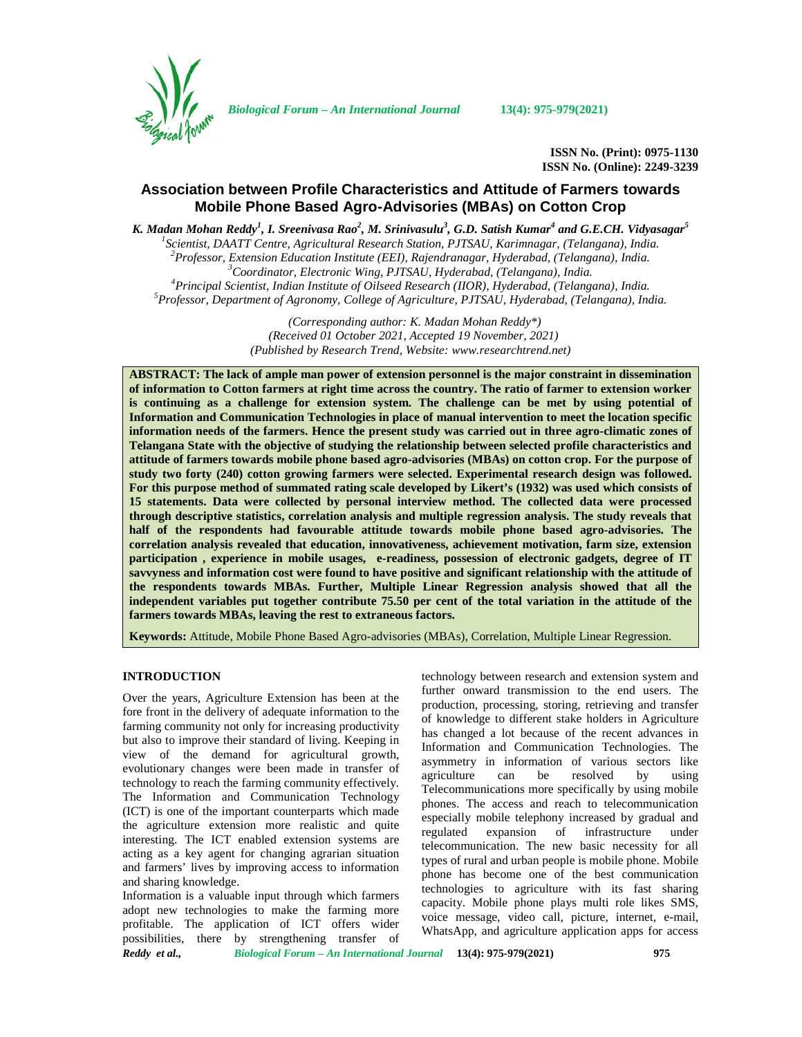

*Biological Forum – An International Journal* **13(4): 975-979(2021)**

**ISSN No. (Print): 0975-1130 ISSN No. (Online): 2249-3239**

# **Association between Profile Characteristics and Attitude of Farmers towards Mobile Phone Based Agro-Advisories (MBAs) on Cotton Crop**

*K. Madan Mohan Reddy<sup>1</sup> , I. Sreenivasa Rao<sup>2</sup> , M. Srinivasulu<sup>3</sup> , G.D. Satish Kumar<sup>4</sup> and G.E.CH. Vidyasagar<sup>5</sup>*

<sup>1</sup>Scientist, DAATT Centre, Agricultural Research Station, PJTSAU, Karimnagar, (Telangana), India.<br><sup>2</sup>Professor, Extension Education Institute (EEI), Rajendranagar, Hyderabad, (Telangana), India.<br><sup>3</sup>Coordinator, Electroni

*(Corresponding author: K. Madan Mohan Reddy\*) (Received 01 October 2021, Accepted 19 November, 2021) (Published by Research Trend, Website: [www.researchtrend.net\)](www.researchtrend.net)*

**ABSTRACT: The lack of ample man power of extension personnel is the major constraint in dissemination of information to Cotton farmers at right time across the country. The ratio of farmer to extension worker is continuing as a challenge for extension system. The challenge can be met by using potential of Information and Communication Technologies in place of manual intervention to meet the location specific information needs of the farmers. Hence the present study was carried out in three agro-climatic zones of Telangana State with the objective of studying the relationship between selected profile characteristics and attitude of farmers towards mobile phone based agro-advisories (MBAs) on cotton crop. For the purpose of study two forty (240) cotton growing farmers were selected. Experimental research design was followed. For this purpose method of summated rating scale developed by Likert's (1932) was used which consists of 15 statements. Data were collected by personal interview method. The collected data were processed through descriptive statistics, correlation analysis and multiple regression analysis. The study reveals that half of the respondents had favourable attitude towards mobile phone based agro-advisories. The correlation analysis revealed that education, innovativeness, achievement motivation, farm size, extension participation , experience in mobile usages, e-readiness, possession of electronic gadgets, degree of IT savvyness and information cost were found to have positive and significant relationship with the attitude of the respondents towards MBAs. Further, Multiple Linear Regression analysis showed that all the independent variables put together contribute 75.50 per cent of the total variation in the attitude of the farmers towards MBAs, leaving the rest to extraneous factors.**

**Keywords:** Attitude, Mobile Phone Based Agro-advisories (MBAs), Correlation, Multiple Linear Regression.

## **INTRODUCTION**

Over the years, Agriculture Extension has been at the fore front in the delivery of adequate information to the farming community not only for increasing productivity but also to improve their standard of living. Keeping in view of the demand for agricultural growth, evolutionary changes were been made in transfer of technology to reach the farming community effectively. The Information and Communication Technology (ICT) is one of the important counterparts which made the agriculture extension more realistic and quite regulated interesting. The ICT enabled extension systems are acting as a key agent for changing agrarian situation and farmers' lives by improving access to information and sharing knowledge.

*Reddy et al., Biological Forum – An International Journal* **13(4): 975-979(2021) 975** Information is a valuable input through which farmers adopt new technologies to make the farming more profitable. The application of ICT offers wider possibilities, there by strengthening transfer of

technology between research and extension system and further onward transmission to the end users. The production, processing, storing, retrieving and transfer of knowledge to different stake holders in Agriculture has changed a lot because of the recent advances in Information and Communication Technologies. The asymmetry in information of various sectors like<br>agriculture can be resolved by using agriculture can be resolved by using Telecommunications more specifically by using mobile phones. The access and reach to telecommunication especially mobile telephony increased by gradual and expansion of infrastructure under telecommunication. The new basic necessity for all types of rural and urban people is mobile phone. Mobile phone has become one of the best communication technologies to agriculture with its fast sharing capacity. Mobile phone plays multi role likes SMS, voice message, video call, picture, internet, e-mail, WhatsApp, and agriculture application apps for access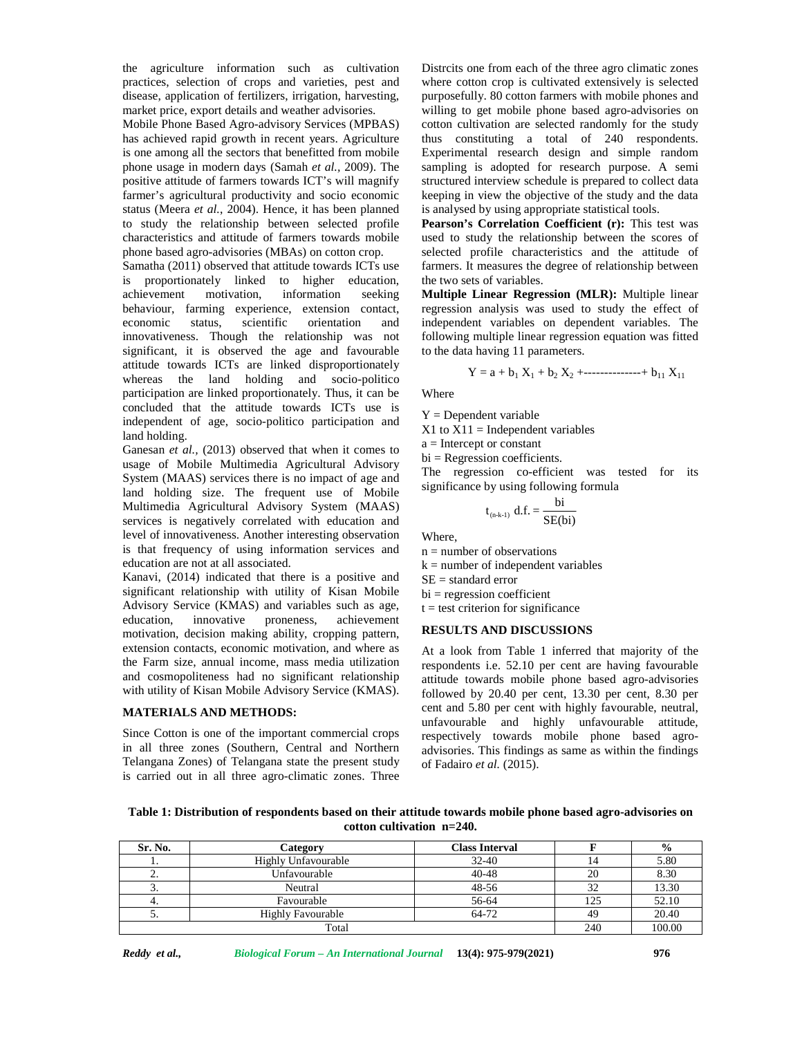the agriculture information such as cultivation practices, selection of crops and varieties, pest and disease, application of fertilizers, irrigation, harvesting, market price, export details and weather advisories.

Mobile Phone Based Agro-advisory Services (MPBAS) has achieved rapid growth in recent years. Agriculture is one among all the sectors that benefitted from mobile phone usage in modern days (Samah *et al.,* 2009). The positive attitude of farmers towards ICT's will magnify farmer's agricultural productivity and socio economic status (Meera *et al.*, 2004). Hence, it has been planned to study the relationship between selected profile characteristics and attitude of farmers towards mobile phone based agro-advisories (MBAs) on cotton crop.

Samatha (2011) observed that attitude towards ICTs use is proportionately linked to higher education, achievement motivation, information seeking behaviour, farming experience, extension contact, economic status, scientific orientation and innovativeness. Though the relationship was not significant, it is observed the age and favourable attitude towards ICTs are linked disproportionately whereas the land holding and socio-politico participation are linked proportionately. Thus, it can be concluded that the attitude towards ICTs use is independent of age, socio-politico participation and land holding.

Ganesan *et al.,* (2013) observed that when it comes to usage of Mobile Multimedia Agricultural Advisory System (MAAS) services there is no impact of age and land holding size. The frequent use of Mobile Multimedia Agricultural Advisory System (MAAS) services is negatively correlated with education and level of innovativeness. Another interesting observation is that frequency of using information services and education are not at all associated.

Kanavi, (2014) indicated that there is a positive and significant relationship with utility of Kisan Mobile Advisory Service (KMAS) and variables such as age, education, innovative proneness, achievement motivation, decision making ability, cropping pattern, extension contacts, economic motivation, and where as the Farm size, annual income, mass media utilization and cosmopoliteness had no significant relationship with utility of Kisan Mobile Advisory Service (KMAS).

## **MATERIALS AND METHODS:**

Since Cotton is one of the important commercial crops in all three zones (Southern, Central and Northern Telangana Zones) of Telangana state the present study is carried out in all three agro-climatic zones. Three Distrcits one from each of the three agro climatic zones where cotton crop is cultivated extensively is selected purposefully. 80 cotton farmers with mobile phones and willing to get mobile phone based agro-advisories on cotton cultivation are selected randomly for the study thus constituting a total of 240 respondents. Experimental research design and simple random sampling is adopted for research purpose. A semi structured interview schedule is prepared to collect data keeping in view the objective of the study and the data is analysed by using appropriate statistical tools.

**Pearson's Correlation Coefficient (r):** This test was used to study the relationship between the scores of selected profile characteristics and the attitude of farmers. It measures the degree of relationship between the two sets of variables.

**Multiple Linear Regression (MLR):** Multiple linear regression analysis was used to study the effect of independent variables on dependent variables. The following multiple linear regression equation was fitted to the data having 11 parameters. iew the objective of the study and the data<br>
y using appropriate statistical tools.<br> **orrelation Coefficient (r):** This test was<br> **or the relationship between the scores of**<br>
file characteristics and the attitude of<br>
row

$$
Y = a + b_1 X_1 + b_2 X_2 + \dots + b_{11} X_{11}
$$

Where

 $Y = Dependent variable$ 

 $X1$  to  $X11$  = Independent variables

a = Intercept or constant

 $bi = Regression coefficients.$ 

The regression co-efficient was tested for its significance by using following formula

$$
_{(n\cdot k\cdot 1)} d.f. = \frac{bi}{SE(bi)}
$$

Where,

n = number of observations

 $k =$  number of independent variables

 $SE =$  standard error

 $bi = regression coefficient$ 

 $t = test$  criterion for significance

### **RESULTS AND DISCUSSIONS**

At a look from Table 1 inferred that majority of the respondents i.e. 52.10 per cent are having favourable attitude towards mobile phone based agro-advisories followed by 20.40 per cent, 13.30 per cent, 8.30 per cent and 5.80 per cent with highly favourable, neutral, unfavourable and highly unfavourable attitude, respectively towards mobile phone based agro advisories. This findings as same as within the findings of Fadairo *et al.* (2015).

**Table 1: Distribution of respondents based on their attitude towards mobile phone based agro-advisories on cotton cultivation n=240.**

| Sr. No.  | Category                 | <b>Class Interval</b> |     | $\frac{6}{9}$ |
|----------|--------------------------|-----------------------|-----|---------------|
|          | Highly Unfavourable      | $32 - 40$             | 14  | 5.80          |
| <u>.</u> | Unfavourable             | $40 - 48$             | 20  | 8.30          |
| J.       | Neutral                  | 48-56                 |     | 13.30         |
| ٠.       | Favourable               | 56-64                 | 125 | 52.10         |
| J.       | <b>Highly Favourable</b> | 64-72                 | 49  | 20.40         |
| Total    |                          |                       | 240 | 100.00        |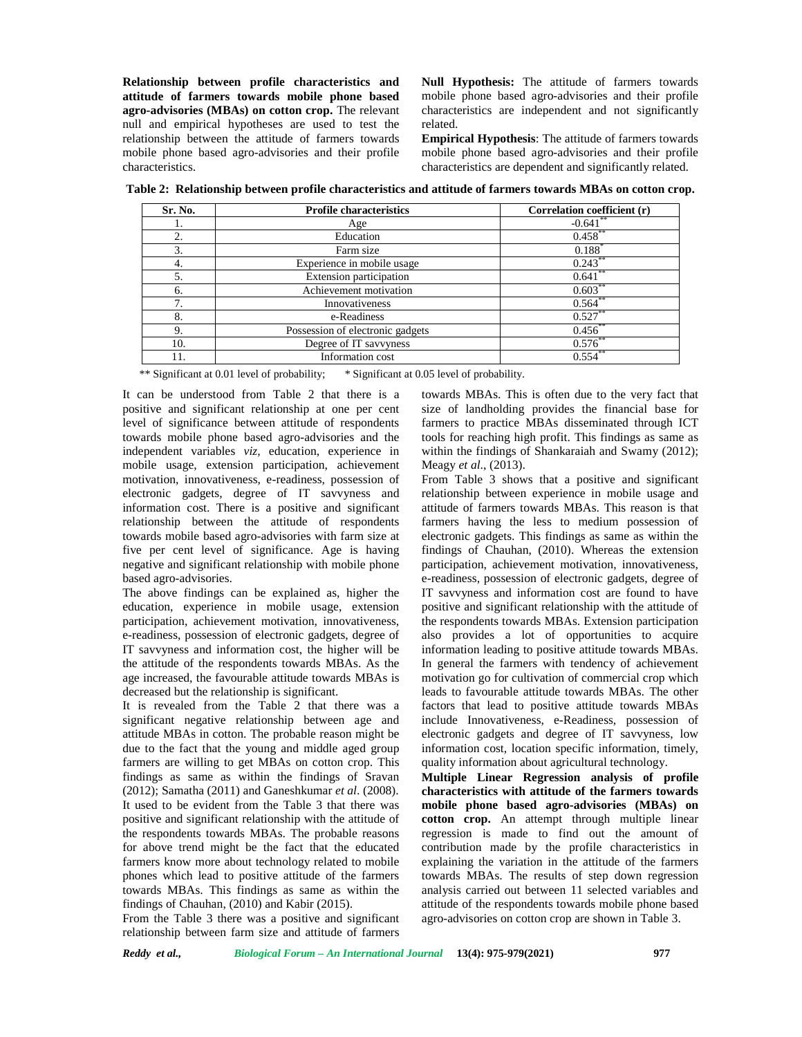**Relationship between profile characteristics and attitude of farmers towards mobile phone based agro-advisories (MBAs) on cotton crop.** The relevant null and empirical hypotheses are used to test the relationship between the attitude of farmers towards mobile phone based agro-advisories and their profile characteristics.

**Null Hypothesis:** The attitude of farmers towards mobile phone based agro-advisories and their profile characteristics are independent and not significantly related.

**Empirical Hypothesis**: The attitude of farmers towards mobile phone based agro-advisories and their profile characteristics are dependent and significantly related.

**Table 2: Relationship between profile characteristics and attitude of farmers towards MBAs on cotton crop.**

| Sr. No. | <b>Profile characteristics</b>   | Correlation coefficient (r) |
|---------|----------------------------------|-----------------------------|
| ı.      | Age                              | $-0.641$ **                 |
|         | Education                        | 0.458                       |
| 3.      | Farm size                        | 0.188                       |
| 4.      | Experience in mobile usage       | 0.243                       |
| 5.      | Extension participation          | $0.641$ **                  |
| 6.      | Achievement motivation           | $0.603**$                   |
| ┑       | Innovativeness                   | $0.564$ **                  |
| 8.      | e-Readiness                      | $0.527$ **                  |
| 9.      | Possession of electronic gadgets | $0.456$ **                  |
| 10.     | Degree of IT savvyness           | 0.576                       |
| 11.     | Information cost                 | $0.554$ **                  |

\*\* Significant at 0.01 level of probability; \* Significant at 0.05 level of probability.

It can be understood from Table 2 that there is a positive and significant relationship at one per cent level of significance between attitude of respondents towards mobile phone based agro-advisories and the independent variables *viz,* education, experience in mobile usage, extension participation, achievement motivation, innovativeness, e-readiness, possession of electronic gadgets, degree of IT savvyness and information cost. There is a positive and significant relationship between the attitude of respondents towards mobile based agro-advisories with farm size at five per cent level of significance. Age is having negative and significant relationship with mobile phone based agro-advisories.

The above findings can be explained as, higher the education, experience in mobile usage, extension participation, achievement motivation, innovativeness, e-readiness, possession of electronic gadgets, degree of IT savvyness and information cost, the higher will be the attitude of the respondents towards MBAs. As the age increased, the favourable attitude towards MBAs is decreased but the relationship is significant.

It is revealed from the Table 2 that there was a significant negative relationship between age and attitude MBAs in cotton. The probable reason might be due to the fact that the young and middle aged group farmers are willing to get MBAs on cotton crop. This findings as same as within the findings of Sravan (2012); Samatha (2011) and Ganeshkumar *et al*. (2008). It used to be evident from the Table 3 that there was positive and significant relationship with the attitude of the respondents towards MBAs. The probable reasons for above trend might be the fact that the educated farmers know more about technology related to mobile phones which lead to positive attitude of the farmers towards MBAs. This findings as same as within the findings of Chauhan, (2010) and Kabir (2015).

From the Table 3 there was a positive and significant relationship between farm size and attitude of farmers

towards MBAs. This is often due to the very fact that size of landholding provides the financial base for farmers to practice MBAs disseminated through ICT tools for reaching high profit. This findings as same as within the findings of Shankaraiah and Swamy (2012); Meagy *et al*., (2013).

From Table 3 shows that a positive and significant relationship between experience in mobile usage and attitude of farmers towards MBAs. This reason is that farmers having the less to medium possession of electronic gadgets. This findings as same as within the findings of Chauhan, (2010). Whereas the extension participation, achievement motivation, innovativeness, e-readiness, possession of electronic gadgets, degree of IT savvyness and information cost are found to have positive and significant relationship with the attitude of the respondents towards MBAs. Extension participation also provides a lot of opportunities to acquire information leading to positive attitude towards MBAs. In general the farmers with tendency of achievement motivation go for cultivation of commercial crop which leads to favourable attitude towards MBAs. The other factors that lead to positive attitude towards MBAs include Innovativeness, e-Readiness, possession of electronic gadgets and degree of IT savvyness, low information cost, location specific information, timely, quality information about agricultural technology.

**Multiple Linear Regression analysis of profile characteristics with attitude of the farmers towards mobile phone based agro-advisories (MBAs) on cotton crop.** An attempt through multiple linear regression is made to find out the amount of contribution made by the profile characteristics in explaining the variation in the attitude of the farmers towards MBAs. The results of step down regression analysis carried out between 11 selected variables and attitude of the respondents towards mobile phone based agro-advisories on cotton crop are shown in Table 3.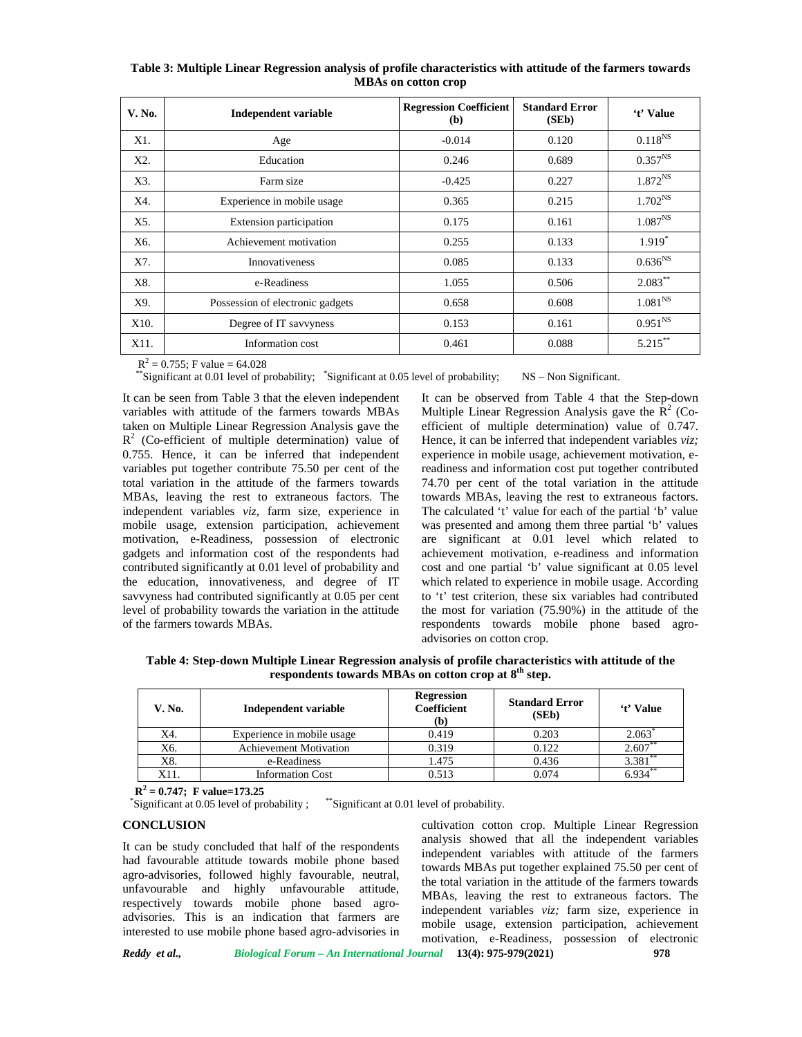| V. No. | <b>Independent variable</b>      | <b>Regression Coefficient</b><br>(b) | <b>Standard Error</b><br>(SED) | 't' Value    |
|--------|----------------------------------|--------------------------------------|--------------------------------|--------------|
| X1.    | Age                              | $-0.014$                             | 0.120                          | $0.118^{NS}$ |
| X2.    | Education                        | 0.246                                | 0.689                          | $0.357^{NS}$ |
| X3.    | Farm size                        | $-0.425$                             | 0.227                          | $1.872^{NS}$ |
| X4.    | Experience in mobile usage       | 0.365                                | 0.215                          | $1.702^{NS}$ |
| X5.    | Extension participation          | 0.175                                | 0.161                          | $1.087^{NS}$ |
| X6.    | Achievement motivation           | 0.255                                | 0.133                          | $1.919*$     |
| X7.    | <b>Innovativeness</b>            | 0.085                                | 0.133                          | $0.636^{NS}$ |
| X8.    | e-Readiness                      | 1.055                                | 0.506                          | $2.083***$   |
| X9.    | Possession of electronic gadgets | 0.658                                | 0.608                          | $1.081^{NS}$ |
| X10.   | Degree of IT savvyness           | 0.153                                | 0.161                          | $0.951^{NS}$ |
| X11.   | Information cost                 | 0.461                                | 0.088                          | $5.215***$   |

**Table 3: Multiple Linear Regression analysis of profile characteristics with attitude of the farmers towards MBAs on cotton crop**

 $R^2 = 0.755$ ; F value = 64.028

\*\*Significant at 0.01 level of probability; \*Significant at 0.05 level of probability; NS – Non Significant.

It can be seen from Table 3 that the eleven independent variables with attitude of the farmers towards MBAs taken on Multiple Linear Regression Analysis gave the  $R^2$  (Co-efficient of multiple determination) value of H 0.755. Hence, it can be inferred that independent variables put together contribute 75.50 per cent of the total variation in the attitude of the farmers towards MBAs, leaving the rest to extraneous factors. The independent variables *viz,* farm size, experience in mobile usage, extension participation, achievement motivation, e-Readiness, possession of electronic gadgets and information cost of the respondents had contributed significantly at 0.01 level of probability and the education, innovativeness, and degree of IT savvyness had contributed significantly at 0.05 per cent level of probability towards the variation in the attitude of the farmers towards MBAs.

It can be observed from Table 4 that the Step-down Multiple Linear Regression Analysis gave the  $R^2$  (Coefficient of multiple determination) value of 0.747. Hence, it can be inferred that independent variables *viz;* experience in mobile usage, achievement motivation, ereadiness and information cost put together contributed 74.70 per cent of the total variation in the attitude towards MBAs, leaving the rest to extraneous factors. The calculated 't' value for each of the partial 'b' value was presented and among them three partial 'b' values are significant at 0.01 level which related to achievement motivation, e-readiness and information cost and one partial 'b' value significant at 0.05 level which related to experience in mobile usage. According to 't' test criterion, these six variables had contributed the most for variation (75.90%) in the attitude of the respondents towards mobile phone based agro advisories on cotton crop.

**Table 4: Step-down Multiple Linear Regression analysis of profile characteristics with attitude of the respondents towards MBAs on cotton crop at 8th step.**

| V. No. | Independent variable          | <b>Regression</b><br><b>Coefficient</b><br>(b) | <b>Standard Error</b><br>(SEb) | 't' Value            |
|--------|-------------------------------|------------------------------------------------|--------------------------------|----------------------|
| X4.    | Experience in mobile usage    | 0.419                                          | 0.203                          | 2.063                |
| X6.    | <b>Achievement Motivation</b> | 0.319                                          | 0.122                          | 2.607                |
| X8.    | e-Readiness                   | 1.475                                          | 0.436                          | $3.381$ <sup>*</sup> |
| X11.   | <b>Information Cost</b>       | 0.513                                          | 0.074                          | $6.934***$           |

**R <sup>2</sup> = 0.747; F value=173.25**

\*Significant at 0.05 level of probability ; \*\*Significant at 0.01 level of probability.

## **CONCLUSION**

It can be study concluded that half of the respondents had favourable attitude towards mobile phone based agro-advisories, followed highly favourable, neutral, unfavourable and highly unfavourable attitude, respectively towards mobile phone based agro advisories. This is an indication that farmers are interested to use mobile phone based agro-advisories in cultivation cotton crop. Multiple Linear Regression analysis showed that all the independent variables independent variables with attitude of the farmers towards MBAs put together explained 75.50 per cent of the total variation in the attitude of the farmers towards MBAs, leaving the rest to extraneous factors. The independent variables *viz;* farm size, experience in mobile usage, extension participation, achievement motivation, e-Readiness, possession of electronic

*Reddy et al., Biological Forum – An International Journal* **13(4): 975-979(2021) 978**